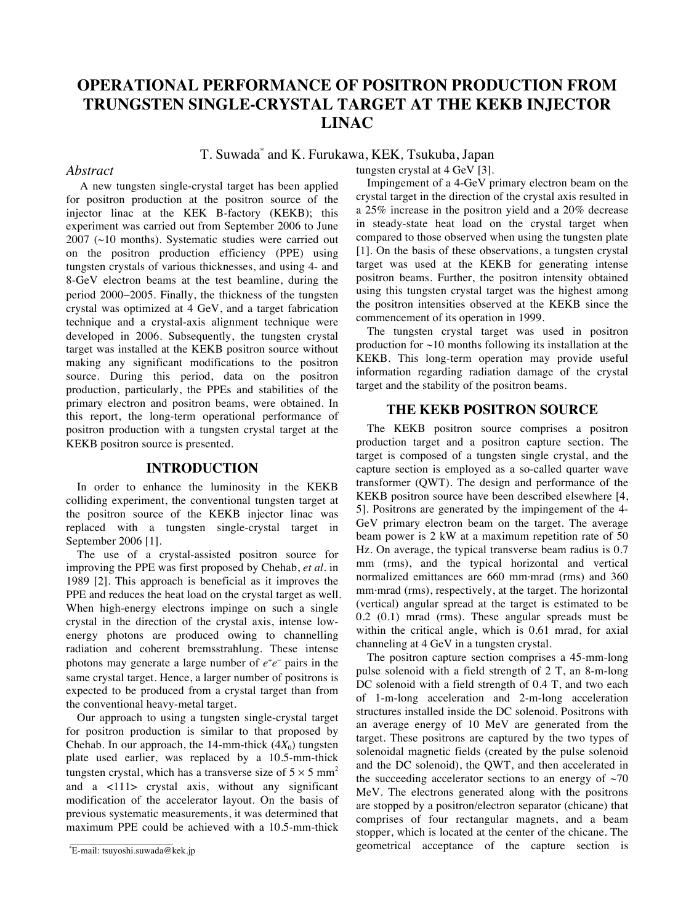# **OPERATIONAL PERFORMANCE OF POSITRON PRODUCTION FROM TRUNGSTEN SINGLE-CRYSTAL TARGET AT THE KEKB INJECTOR LINAC**

## T. Suwada\* and K. Furukawa, KEK*,* Tsukuba, Japan

#### *Abstract*

 A new tungsten single-crystal target has been applied for positron production at the positron source of the injector linac at the KEK B-factory (KEKB); this experiment was carried out from September 2006 to June 2007 (~10 months). Systematic studies were carried out on the positron production efficiency (PPE) using tungsten crystals of various thicknesses, and using 4- and 8-GeV electron beams at the test beamline, during the period 2000–2005. Finally, the thickness of the tungsten crystal was optimized at 4 GeV, and a target fabrication technique and a crystal-axis alignment technique were developed in 2006. Subsequently, the tungsten crystal target was installed at the KEKB positron source without making any significant modifications to the positron source. During this period, data on the positron production, particularly, the PPEs and stabilities of the primary electron and positron beams, were obtained. In this report, the long-term operational performance of positron production with a tungsten crystal target at the KEKB positron source is presented.

#### **INTRODUCTION**

In order to enhance the luminosity in the KEKB colliding experiment, the conventional tungsten target at the positron source of the KEKB injector linac was replaced with a tungsten single-crystal target in September 2006 [1].

The use of a crystal-assisted positron source for improving the PPE was first proposed by Chehab, *et al.* in 1989 [2]. This approach is beneficial as it improves the PPE and reduces the heat load on the crystal target as well. When high-energy electrons impinge on such a single crystal in the direction of the crystal axis, intense lowenergy photons are produced owing to channelling radiation and coherent bremsstrahlung. These intense photons may generate a large number of  $e^+e^-$  pairs in the same crystal target. Hence, a larger number of positrons is expected to be produced from a crystal target than from the conventional heavy-metal target.

Our approach to using a tungsten single-crystal target for positron production is similar to that proposed by Chehab. In our approach, the 14-mm-thick  $(4X_0)$  tungsten plate used earlier, was replaced by a 10.5-mm-thick tungsten crystal, which has a transverse size of  $5 \times 5$  mm<sup>2</sup> and a <111> crystal axis, without any significant modification of the accelerator layout. On the basis of previous systematic measurements, it was determined that maximum PPE could be achieved with a 10.5-mm-thick

tungsten crystal at 4 GeV [3].

Impingement of a 4-GeV primary electron beam on the crystal target in the direction of the crystal axis resulted in a 25% increase in the positron yield and a 20% decrease in steady-state heat load on the crystal target when compared to those observed when using the tungsten plate [1]. On the basis of these observations, a tungsten crystal target was used at the KEKB for generating intense positron beams. Further, the positron intensity obtained using this tungsten crystal target was the highest among the positron intensities observed at the KEKB since the commencement of its operation in 1999.

The tungsten crystal target was used in positron production for  $\sim$ 10 months following its installation at the KEKB. This long-term operation may provide useful information regarding radiation damage of the crystal target and the stability of the positron beams.

#### **THE KEKB POSITRON SOURCE**

The KEKB positron source comprises a positron production target and a positron capture section. The target is composed of a tungsten single crystal, and the capture section is employed as a so-called quarter wave transformer (QWT). The design and performance of the KEKB positron source have been described elsewhere [4, 5]. Positrons are generated by the impingement of the 4- GeV primary electron beam on the target. The average beam power is 2 kW at a maximum repetition rate of 50 Hz. On average, the typical transverse beam radius is 0.7 mm (rms), and the typical horizontal and vertical normalized emittances are 660 mm*·*mrad (rms) and 360 mm*·*mrad (rms), respectively, at the target. The horizontal (vertical) angular spread at the target is estimated to be 0.2 (0.1) mrad (rms). These angular spreads must be within the critical angle, which is 0.61 mrad, for axial channeling at 4 GeV in a tungsten crystal.

The positron capture section comprises a 45-mm-long pulse solenoid with a field strength of 2 T, an 8-m-long DC solenoid with a field strength of 0.4 T, and two each of 1-m-long acceleration and 2-m-long acceleration structures installed inside the DC solenoid. Positrons with an average energy of 10 MeV are generated from the target. These positrons are captured by the two types of solenoidal magnetic fields (created by the pulse solenoid and the DC solenoid), the QWT, and then accelerated in the succeeding accelerator sections to an energy of  $\sim$ 70 MeV. The electrons generated along with the positrons are stopped by a positron/electron separator (chicane) that comprises of four rectangular magnets, and a beam stopper, which is located at the center of the chicane. The geometrical acceptance of the capture section is

<sup>\*</sup> E-mail: tsuyoshi.suwada@kek.jp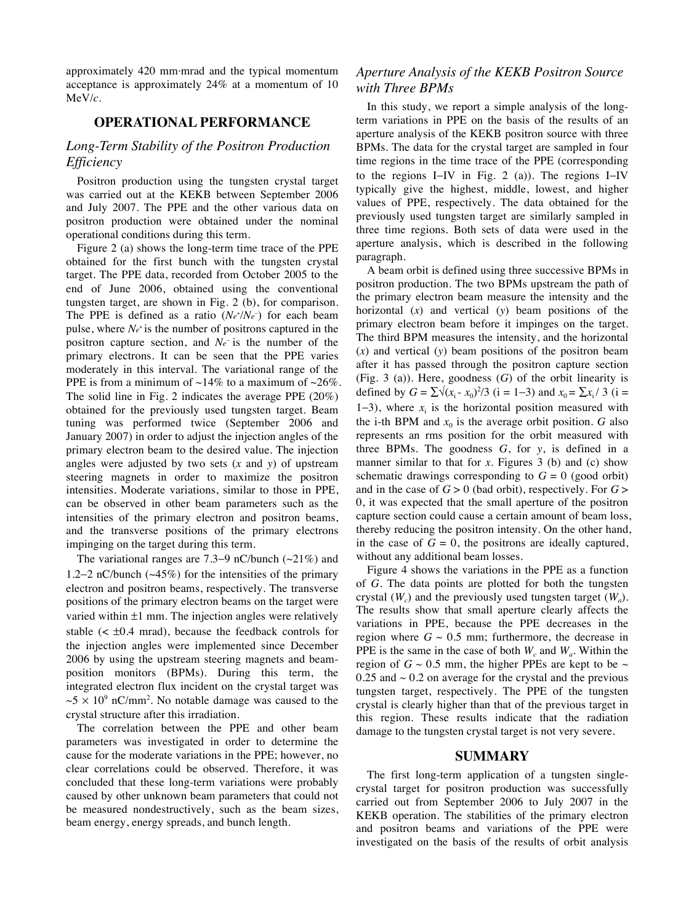approximately 420 mm*·*mrad and the typical momentum acceptance is approximately 24% at a momentum of 10 MeV/*c*.

## **OPERATIONAL PERFORMANCE**

## *Long-Term Stability of the Positron Production Efficiency*

Positron production using the tungsten crystal target was carried out at the KEKB between September 2006 and July 2007. The PPE and the other various data on positron production were obtained under the nominal operational conditions during this term.

Figure 2 (a) shows the long-term time trace of the PPE obtained for the first bunch with the tungsten crystal target. The PPE data, recorded from October 2005 to the end of June 2006, obtained using the conventional tungsten target, are shown in Fig. 2 (b), for comparison. The PPE is defined as a ratio  $(Ne^N/Ne^-)$  for each beam pulse, where  $N_{e^+}$  is the number of positrons captured in the positron capture section, and *Ne* is the number of the primary electrons. It can be seen that the PPE varies moderately in this interval. The variational range of the PPE is from a minimum of  $\sim$ 14% to a maximum of  $\sim$ 26%. The solid line in Fig. 2 indicates the average PPE (20%) obtained for the previously used tungsten target. Beam tuning was performed twice (September 2006 and January 2007) in order to adjust the injection angles of the primary electron beam to the desired value. The injection angles were adjusted by two sets (*x* and *y*) of upstream steering magnets in order to maximize the positron intensities. Moderate variations, similar to those in PPE, can be observed in other beam parameters such as the intensities of the primary electron and positron beams, and the transverse positions of the primary electrons impinging on the target during this term*.*

The variational ranges are 7.3–9 nC/bunch ( $\sim$ 21%) and 1.2–2 nC/bunch  $(\sim45\%)$  for the intensities of the primary electron and positron beams, respectively. The transverse positions of the primary electron beams on the target were varied within  $\pm 1$  mm. The injection angles were relatively stable  $\left($  <  $\pm 0.4 \text{ mrad}$ ), because the feedback controls for the injection angles were implemented since December 2006 by using the upstream steering magnets and beamposition monitors (BPMs). During this term, the integrated electron flux incident on the crystal target was  $\sim$ 5  $\times$  10<sup>9</sup> nC/mm<sup>2</sup>. No notable damage was caused to the crystal structure after this irradiation.

The correlation between the PPE and other beam parameters was investigated in order to determine the cause for the moderate variations in the PPE; however, no clear correlations could be observed. Therefore, it was concluded that these long-term variations were probably caused by other unknown beam parameters that could not be measured nondestructively, such as the beam sizes, beam energy, energy spreads, and bunch length.

## *Aperture Analysis of the KEKB Positron Source with Three BPMs*

In this study, we report a simple analysis of the longterm variations in PPE on the basis of the results of an aperture analysis of the KEKB positron source with three BPMs. The data for the crystal target are sampled in four time regions in the time trace of the PPE (corresponding to the regions I-IV in Fig. 2 (a)). The regions I-IV typically give the highest, middle, lowest, and higher values of PPE, respectively. The data obtained for the previously used tungsten target are similarly sampled in three time regions. Both sets of data were used in the aperture analysis, which is described in the following paragraph.

A beam orbit is defined using three successive BPMs in positron production. The two BPMs upstream the path of the primary electron beam measure the intensity and the horizontal (*x*) and vertical (*y*) beam positions of the primary electron beam before it impinges on the target. The third BPM measures the intensity, and the horizontal (*x*) and vertical (*y*) beam positions of the positron beam after it has passed through the positron capture section (Fig. 3 (a)). Here, goodness (*G*) of the orbit linearity is defined by  $G = \sum \sqrt{(x_i - x_0)^2/3}$  (i = 1–3) and  $x_0 = \sum x_i / 3$  (i = 1-3), where  $x_i$  is the horizontal position measured with the i-th BPM and  $x_0$  is the average orbit position. *G* also represents an rms position for the orbit measured with three BPMs. The goodness *G*, for *y*, is defined in a manner similar to that for *x*. Figures 3 (b) and (c) show schematic drawings corresponding to  $G = 0$  (good orbit) and in the case of *G* > 0 (bad orbit), respectively. For *G* > 0, it was expected that the small aperture of the positron capture section could cause a certain amount of beam loss, thereby reducing the positron intensity. On the other hand, in the case of  $G = 0$ , the positrons are ideally captured, without any additional beam losses.

Figure 4 shows the variations in the PPE as a function of *G*. The data points are plotted for both the tungsten crystal  $(W_c)$  and the previously used tungsten target  $(W_a)$ . The results show that small aperture clearly affects the variations in PPE, because the PPE decreases in the region where  $G \sim 0.5$  mm; furthermore, the decrease in PPE is the same in the case of both  $W_c$  and  $W_a$ . Within the region of  $G \sim 0.5$  mm, the higher PPEs are kept to be  $\sim$ 0.25 and  $\sim$  0.2 on average for the crystal and the previous tungsten target, respectively. The PPE of the tungsten crystal is clearly higher than that of the previous target in this region. These results indicate that the radiation damage to the tungsten crystal target is not very severe.

#### **SUMMARY**

The first long-term application of a tungsten singlecrystal target for positron production was successfully carried out from September 2006 to July 2007 in the KEKB operation. The stabilities of the primary electron and positron beams and variations of the PPE were investigated on the basis of the results of orbit analysis